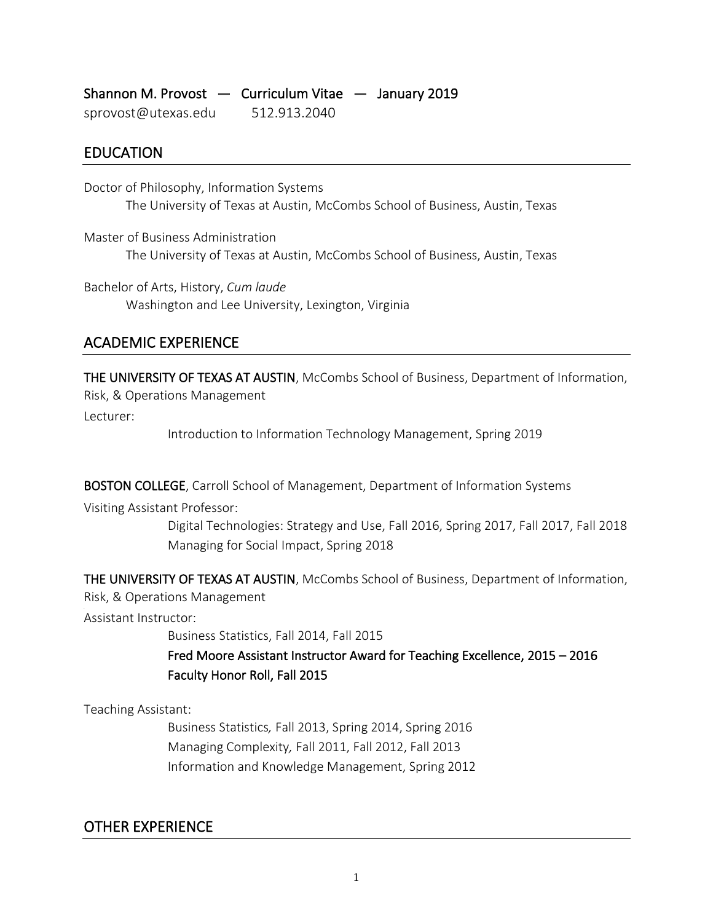| Shannon M. Provost $-$ Curriculum Vitae $-$ January 2019 |              |  |
|----------------------------------------------------------|--------------|--|
| sprovost@utexas.edu                                      | 512.913.2040 |  |

## EDUCATION

Doctor of Philosophy, Information Systems The University of Texas at Austin, McCombs School of Business, Austin, Texas

Master of Business Administration The University of Texas at Austin, McCombs School of Business, Austin, Texas

Bachelor of Arts, History, *Cum laude* Washington and Lee University, Lexington, Virginia

# ACADEMIC EXPERIENCE

THE UNIVERSITY OF TEXAS AT AUSTIN, McCombs School of Business, Department of Information, Risk, & Operations Management

Lecturer:

Introduction to Information Technology Management, Spring 2019

BOSTON COLLEGE, Carroll School of Management, Department of Information Systems

Visiting Assistant Professor:

Digital Technologies: Strategy and Use, Fall 2016, Spring 2017, Fall 2017, Fall 2018 Managing for Social Impact, Spring 2018

THE UNIVERSITY OF TEXAS AT AUSTIN, McCombs School of Business, Department of Information,

Risk, & Operations Management .

Assistant Instructor:

Business Statistics, Fall 2014, Fall 2015

Fred Moore Assistant Instructor Award for Teaching Excellence, 2015 – 2016 Faculty Honor Roll, Fall 2015

Teaching Assistant:

Business Statistics*,* Fall 2013, Spring 2014, Spring 2016 Managing Complexity*,* Fall 2011, Fall 2012, Fall 2013 Information and Knowledge Management, Spring 2012

# OTHER EXPERIENCE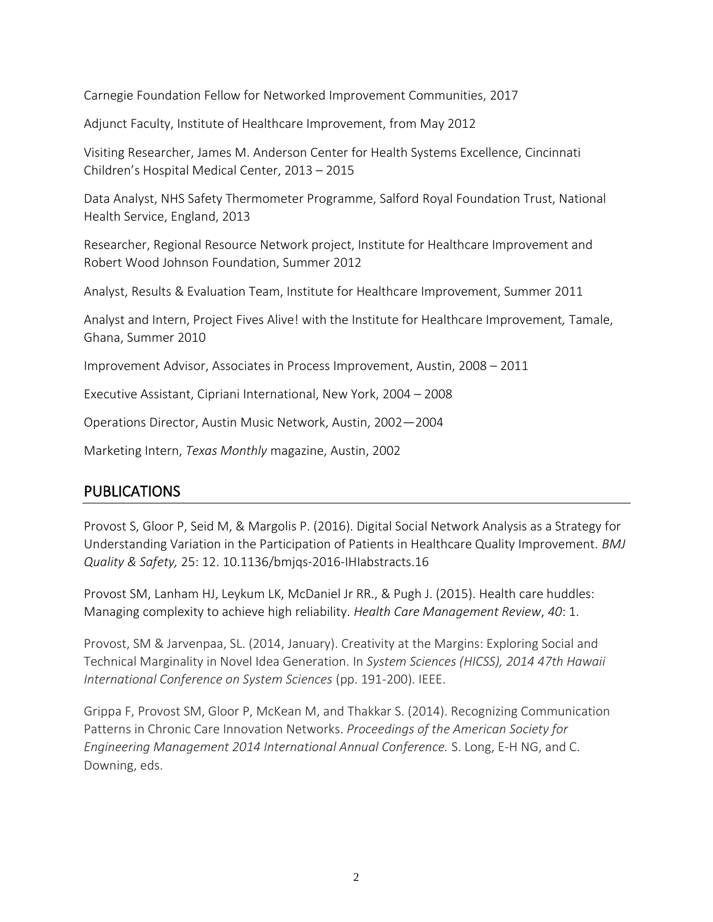Carnegie Foundation Fellow for Networked Improvement Communities, 2017

Adjunct Faculty, Institute of Healthcare Improvement, from May 2012

Visiting Researcher, James M. Anderson Center for Health Systems Excellence, Cincinnati Children's Hospital Medical Center, 2013 – 2015

Data Analyst, NHS Safety Thermometer Programme, Salford Royal Foundation Trust, National Health Service, England, 2013

Researcher, Regional Resource Network project, Institute for Healthcare Improvement and Robert Wood Johnson Foundation, Summer 2012

Analyst, Results & Evaluation Team, Institute for Healthcare Improvement, Summer 2011

Analyst and Intern, Project Fives Alive! with the Institute for Healthcare Improvement*,* Tamale, Ghana, Summer 2010

Improvement Advisor, Associates in Process Improvement, Austin, 2008 – 2011

Executive Assistant, Cipriani International, New York, 2004 – 2008

Operations Director, Austin Music Network, Austin, 2002—2004

Marketing Intern, *Texas Monthly* magazine, Austin, 2002

#### PUBLICATIONS

Provost S, Gloor P, Seid M, & Margolis P. (2016). Digital Social Network Analysis as a Strategy for Understanding Variation in the Participation of Patients in Healthcare Quality Improvement. *BMJ Quality & Safety,* 25: 12. 10.1136/bmjqs-2016-IHIabstracts.16

Provost SM, Lanham HJ, Leykum LK, McDaniel Jr RR., & Pugh J. (2015). Health care huddles: Managing complexity to achieve high reliability. *Health Care Management Review*, *40*: 1.

Provost, SM & Jarvenpaa, SL. (2014, January). Creativity at the Margins: Exploring Social and Technical Marginality in Novel Idea Generation. In *System Sciences (HICSS), 2014 47th Hawaii International Conference on System Sciences* (pp. 191-200). IEEE.

Grippa F, Provost SM, Gloor P, McKean M, and Thakkar S. (2014). Recognizing Communication Patterns in Chronic Care Innovation Networks. *Proceedings of the American Society for Engineering Management 2014 International Annual Conference.* S. Long, E-H NG, and C. Downing, eds.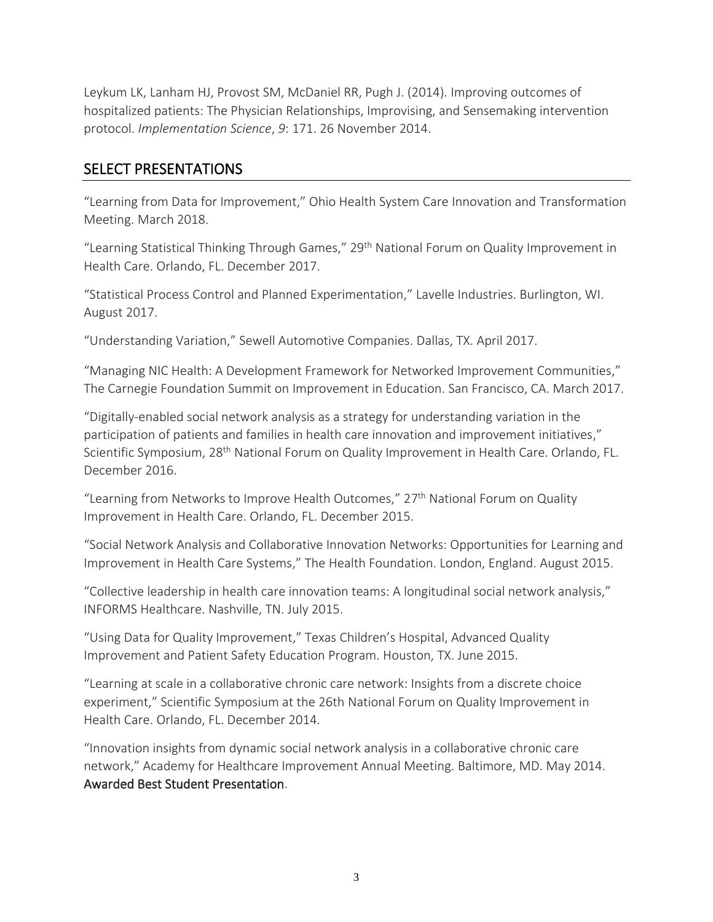Leykum LK, Lanham HJ, Provost SM, McDaniel RR, Pugh J. (2014). Improving outcomes of hospitalized patients: The Physician Relationships, Improvising, and Sensemaking intervention protocol. *Implementation Science*, *9*: 171. 26 November 2014.

### SELECT PRESENTATIONS

"Learning from Data for Improvement," Ohio Health System Care Innovation and Transformation Meeting. March 2018.

"Learning Statistical Thinking Through Games," 29<sup>th</sup> National Forum on Quality Improvement in Health Care. Orlando, FL. December 2017.

"Statistical Process Control and Planned Experimentation," Lavelle Industries. Burlington, WI. August 2017.

"Understanding Variation," Sewell Automotive Companies. Dallas, TX. April 2017.

"Managing NIC Health: A Development Framework for Networked Improvement Communities," The Carnegie Foundation Summit on Improvement in Education. San Francisco, CA. March 2017.

"Digitally-enabled social network analysis as a strategy for understanding variation in the participation of patients and families in health care innovation and improvement initiatives," Scientific Symposium, 28<sup>th</sup> National Forum on Quality Improvement in Health Care. Orlando, FL. December 2016.

"Learning from Networks to Improve Health Outcomes,"  $27<sup>th</sup>$  National Forum on Quality Improvement in Health Care. Orlando, FL. December 2015.

"Social Network Analysis and Collaborative Innovation Networks: Opportunities for Learning and Improvement in Health Care Systems," The Health Foundation. London, England. August 2015.

"Collective leadership in health care innovation teams: A longitudinal social network analysis," INFORMS Healthcare. Nashville, TN. July 2015.

"Using Data for Quality Improvement," Texas Children's Hospital, Advanced Quality Improvement and Patient Safety Education Program. Houston, TX. June 2015.

"Learning at scale in a collaborative chronic care network: Insights from a discrete choice experiment," Scientific Symposium at the 26th National Forum on Quality Improvement in Health Care. Orlando, FL. December 2014.

"Innovation insights from dynamic social network analysis in a collaborative chronic care network," Academy for Healthcare Improvement Annual Meeting. Baltimore, MD. May 2014. Awarded Best Student Presentation.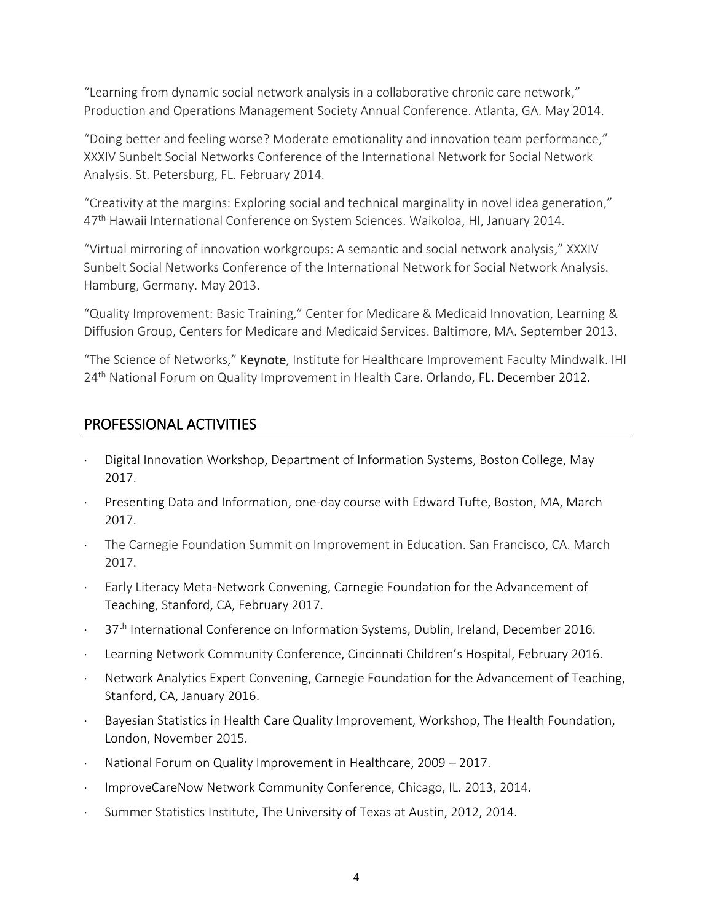"Learning from dynamic social network analysis in a collaborative chronic care network," Production and Operations Management Society Annual Conference. Atlanta, GA. May 2014.

"Doing better and feeling worse? Moderate emotionality and innovation team performance," XXXIV Sunbelt Social Networks Conference of the International Network for Social Network Analysis. St. Petersburg, FL. February 2014.

"Creativity at the margins: Exploring social and technical marginality in novel idea generation," 47th Hawaii International Conference on System Sciences. Waikoloa, HI, January 2014.

"Virtual mirroring of innovation workgroups: A semantic and social network analysis," XXXIV Sunbelt Social Networks Conference of the International Network for Social Network Analysis. Hamburg, Germany. May 2013.

"Quality Improvement: Basic Training," Center for Medicare & Medicaid Innovation, Learning & Diffusion Group, Centers for Medicare and Medicaid Services. Baltimore, MA. September 2013.

"The Science of Networks," Keynote, Institute for Healthcare Improvement Faculty Mindwalk. IHI 24<sup>th</sup> National Forum on Quality Improvement in Health Care. Orlando, FL. December 2012.

# PROFESSIONAL ACTIVITIES

- Digital Innovation Workshop, Department of Information Systems, Boston College, May 2017.
- Presenting Data and Information, one-day course with Edward Tufte, Boston, MA, March 2017.
- The Carnegie Foundation Summit on Improvement in Education. San Francisco, CA. March 2017.
- Early Literacy Meta-Network Convening, Carnegie Foundation for the Advancement of Teaching, Stanford, CA, February 2017.
- 37<sup>th</sup> International Conference on Information Systems, Dublin, Ireland, December 2016.
- Learning Network Community Conference, Cincinnati Children's Hospital, February 2016.
- Network Analytics Expert Convening, Carnegie Foundation for the Advancement of Teaching, Stanford, CA, January 2016.
- Bayesian Statistics in Health Care Quality Improvement, Workshop, The Health Foundation, London, November 2015.
- National Forum on Quality Improvement in Healthcare, 2009 2017.
- ImproveCareNow Network Community Conference, Chicago, IL. 2013, 2014.
- Summer Statistics Institute, The University of Texas at Austin, 2012, 2014.